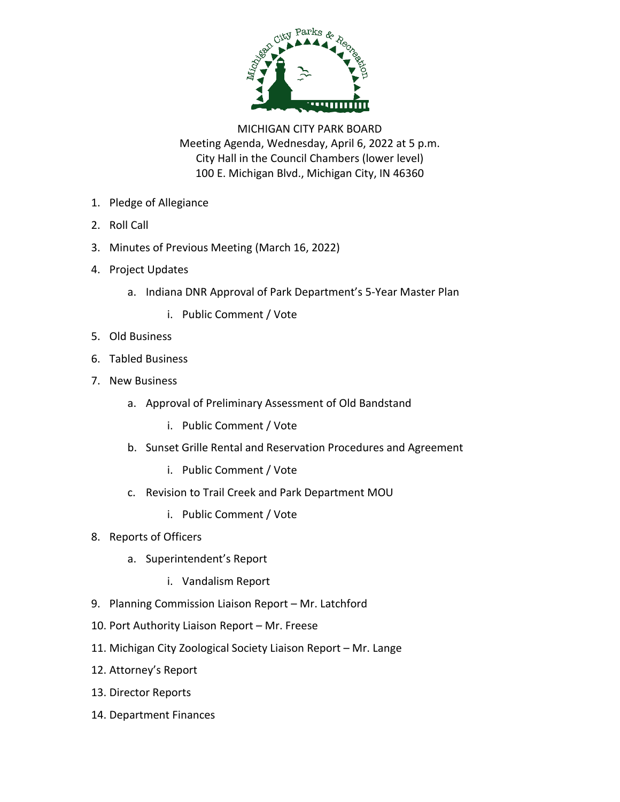

MICHIGAN CITY PARK BOARD Meeting Agenda, Wednesday, April 6, 2022 at 5 p.m. City Hall in the Council Chambers (lower level) 100 E. Michigan Blvd., Michigan City, IN 46360

- 1. Pledge of Allegiance
- 2. Roll Call
- 3. Minutes of Previous Meeting (March 16, 2022)
- 4. Project Updates
	- a. Indiana DNR Approval of Park Department's 5-Year Master Plan
		- i. Public Comment / Vote
- 5. Old Business
- 6. Tabled Business
- 7. New Business
	- a. Approval of Preliminary Assessment of Old Bandstand
		- i. Public Comment / Vote
	- b. Sunset Grille Rental and Reservation Procedures and Agreement
		- i. Public Comment / Vote
	- c. Revision to Trail Creek and Park Department MOU
		- i. Public Comment / Vote
- 8. Reports of Officers
	- a. Superintendent's Report
		- i. Vandalism Report
- 9. Planning Commission Liaison Report Mr. Latchford
- 10. Port Authority Liaison Report Mr. Freese
- 11. Michigan City Zoological Society Liaison Report Mr. Lange
- 12. Attorney's Report
- 13. Director Reports
- 14. Department Finances